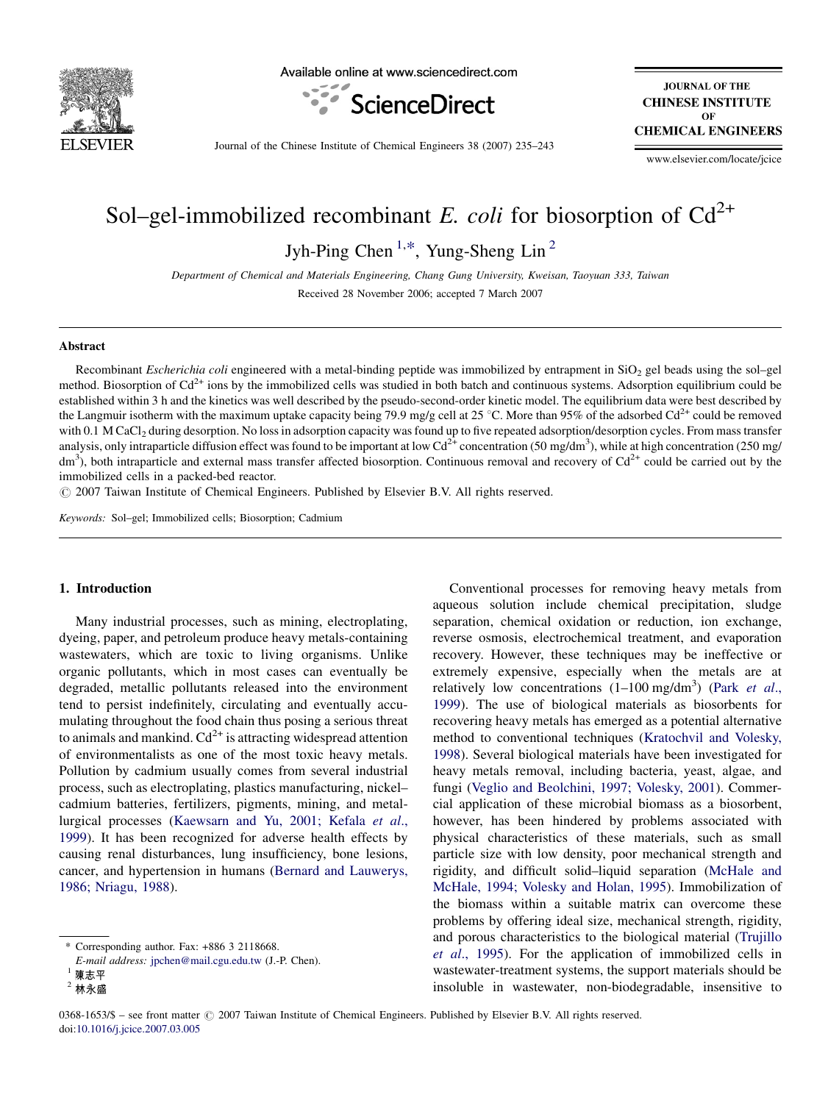

Available online at www.sciencedirect.com



**JOURNAL OF THE CHINESE INSTITUTE**  $\Omega$ <sub>E</sub> **CHEMICAL ENGINEERS** 

Journal of the Chinese Institute of Chemical Engineers 38 (2007) 235–243

www.elsevier.com/locate/jcice

# Sol–gel-immobilized recombinant E. coli for biosorption of  $Cd^{2+}$

Jyh-Ping Chen<sup>1,\*</sup>, Yung-Sheng Lin<sup>2</sup>

Department of Chemical and Materials Engineering, Chang Gung University, Kweisan, Taoyuan 333, Taiwan Received 28 November 2006; accepted 7 March 2007

#### Abstract

Recombinant *Escherichia coli* engineered with a metal-binding peptide was immobilized by entrapment in  $SiO<sub>2</sub>$  gel beads using the sol–gel method. Biosorption of  $Cd^{2+}$  ions by the immobilized cells was studied in both batch and continuous systems. Adsorption equilibrium could be established within 3 h and the kinetics was well described by the pseudo-second-order kinetic model. The equilibrium data were best described by the Langmuir isotherm with the maximum uptake capacity being 79.9 mg/g cell at 25 °C. More than 95% of the adsorbed Cd<sup>2+</sup> could be removed with 0.1 M CaCl<sub>2</sub> during desorption. No loss in adsorption capacity was found up to five repeated adsorption/desorption cycles. From mass transfer analysis, only intraparticle diffusion effect was found to be important at low Cd<sup>2+</sup> concentration (50 mg/dm<sup>3</sup>), while at high concentration (250 mg/  $dm<sup>3</sup>$ ), both intraparticle and external mass transfer affected biosorption. Continuous removal and recovery of Cd<sup>2+</sup> could be carried out by the immobilized cells in a packed-bed reactor.

 $\odot$  2007 Taiwan Institute of Chemical Engineers. Published by Elsevier B.V. All rights reserved.

Keywords: Sol–gel; Immobilized cells; Biosorption; Cadmium

#### 1. Introduction

Many industrial processes, such as mining, electroplating, dyeing, paper, and petroleum produce heavy metals-containing wastewaters, which are toxic to living organisms. Unlike organic pollutants, which in most cases can eventually be degraded, metallic pollutants released into the environment tend to persist indefinitely, circulating and eventually accumulating throughout the food chain thus posing a serious threat to animals and mankind.  $Cd^{2+}$  is attracting widespread attention of environmentalists as one of the most toxic heavy metals. Pollution by cadmium usually comes from several industrial process, such as electroplating, plastics manufacturing, nickel– cadmium batteries, fertilizers, pigments, mining, and metallurgical processes [\(Kaewsarn and Yu, 2001; Kefala](#page-8-0) et al., [1999](#page-8-0)). It has been recognized for adverse health effects by causing renal disturbances, lung insufficiency, bone lesions, cancer, and hypertension in humans ([Bernard and Lauwerys,](#page-7-0) [1986; Nriagu, 1988](#page-7-0)).

Conventional processes for removing heavy metals from aqueous solution include chemical precipitation, sludge separation, chemical oxidation or reduction, ion exchange, reverse osmosis, electrochemical treatment, and evaporation recovery. However, these techniques may be ineffective or extremely expensive, especially when the metals are at relatively low concentrations  $(1-100 \text{ mg/dm}^3)$  (Park [et al](#page-8-0)., [1999](#page-8-0)). The use of biological materials as biosorbents for recovering heavy metals has emerged as a potential alternative method to conventional techniques [\(Kratochvil and Volesky,](#page-8-0) [1998](#page-8-0)). Several biological materials have been investigated for heavy metals removal, including bacteria, yeast, algae, and fungi [\(Veglio and Beolchini, 1997; Volesky, 2001](#page-8-0)). Commercial application of these microbial biomass as a biosorbent, however, has been hindered by problems associated with physical characteristics of these materials, such as small particle size with low density, poor mechanical strength and rigidity, and difficult solid–liquid separation [\(McHale and](#page-8-0) [McHale, 1994; Volesky and Holan, 1995\)](#page-8-0). Immobilization of the biomass within a suitable matrix can overcome these problems by offering ideal size, mechanical strength, rigidity, and porous characteristics to the biological material [\(Trujillo](#page-8-0) et al[., 1995\)](#page-8-0). For the application of immobilized cells in wastewater-treatment systems, the support materials should be insoluble in wastewater, non-biodegradable, insensitive to

<sup>\*</sup> Corresponding author. Fax: +886 3 2118668.

E-mail address: [jpchen@mail.cgu.edu.tw](mailto:jpchen@mail.cgu.edu.tw) (J.-P. Chen).<br>陳志平

 $2$  林永盛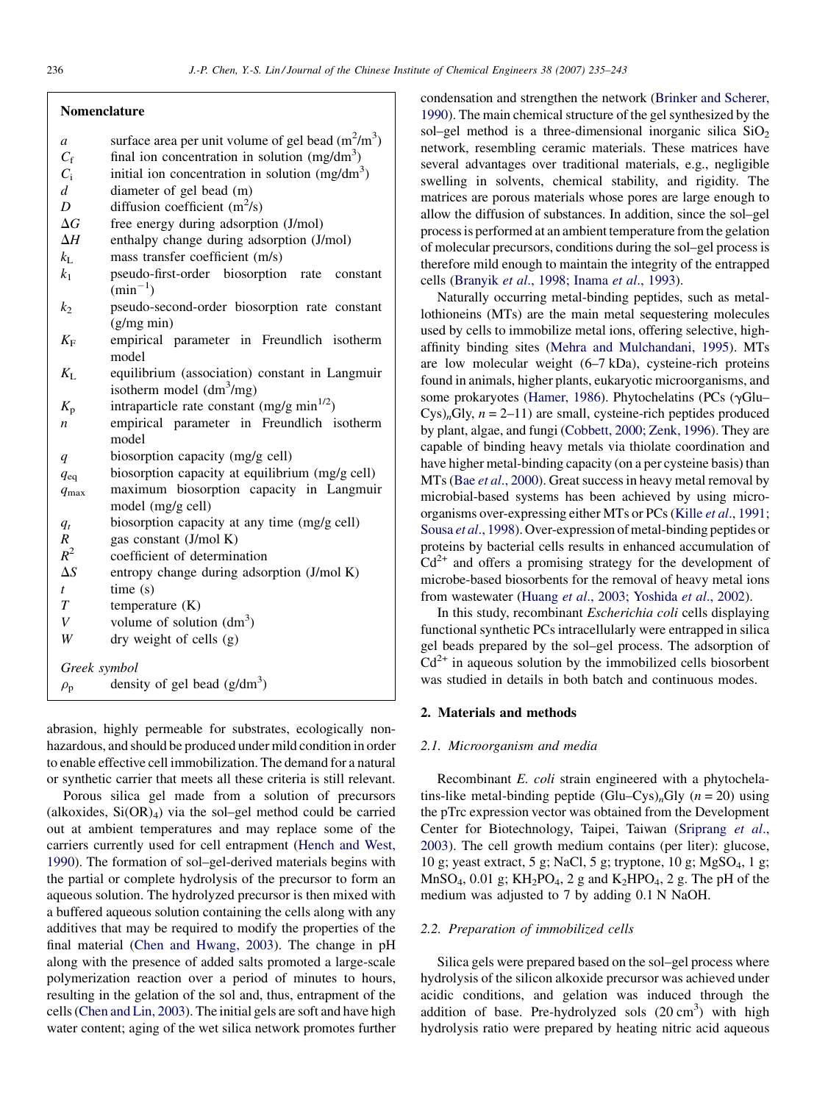- a surface area per unit volume of gel bead  $(m^2/m^3)$
- $C_f$  final ion concentration in solution (mg/dm<sup>3</sup>)
- $C_i$  initial ion concentration in solution (mg/dm<sup>3</sup>)
- d diameter of gel bead (m)
- D diffusion coefficient  $(m^2/s)$
- $\Delta G$  free energy during adsorption (J/mol)
- $\Delta H$  enthalpy change during adsorption (J/mol)
- $k_L$  mass transfer coefficient (m/s)
- $k_1$  pseudo-first-order biosorption rate constant  $(min^{-1})$
- $k<sub>2</sub>$  pseudo-second-order biosorption rate constant (g/mg min)
- $K_F$  empirical parameter in Freundlich isotherm model
- $K_L$  equilibrium (association) constant in Langmuir isotherm model  $(dm<sup>3</sup>/mg)$
- $K_p$  intraparticle rate constant (mg/g min<sup>1/2</sup>)
- $n$  empirical parameter in Freundlich isotherm model
- q biosorption capacity (mg/g cell)
- $q_{\text{eq}}$  biosorption capacity at equilibrium (mg/g cell)
- $q_{\text{max}}$  maximum biosorption capacity in Langmuir model (mg/g cell)
- $q_t$  biosorption capacity at any time (mg/g cell)
- $R$  gas constant (J/mol K)<br> $R^2$  coefficient of determin
- coefficient of determination
- $\Delta S$  entropy change during adsorption (J/mol K)  $t$  time (s)
- $T$  temperature  $(K)$
- V volume of solution  $(dm<sup>3</sup>)$

W dry weight of cells (g)

Greek symbol

```
\rho_{\rm p} density of gel bead (g/dm<sup>3</sup>)
```
abrasion, highly permeable for substrates, ecologically nonhazardous, and should be produced under mild condition in order to enable effective cell immobilization. The demand for a natural or synthetic carrier that meets all these criteria is still relevant.

Porous silica gel made from a solution of precursors (alkoxides,  $Si(OR)<sub>4</sub>$ ) via the sol–gel method could be carried out at ambient temperatures and may replace some of the carriers currently used for cell entrapment ([Hench and West,](#page-8-0) [1990\)](#page-8-0). The formation of sol–gel-derived materials begins with the partial or complete hydrolysis of the precursor to form an aqueous solution. The hydrolyzed precursor is then mixed with a buffered aqueous solution containing the cells along with any additives that may be required to modify the properties of the final material ([Chen and Hwang, 2003](#page-7-0)). The change in pH along with the presence of added salts promoted a large-scale polymerization reaction over a period of minutes to hours, resulting in the gelation of the sol and, thus, entrapment of the cells ([Chen and Lin, 2003](#page-7-0)). The initial gels are soft and have high water content; aging of the wet silica network promotes further condensation and strengthen the network ([Brinker and Scherer,](#page-7-0) [1990](#page-7-0)). The main chemical structure of the gel synthesized by the sol–gel method is a three-dimensional inorganic silica  $SiO<sub>2</sub>$ network, resembling ceramic materials. These matrices have several advantages over traditional materials, e.g., negligible swelling in solvents, chemical stability, and rigidity. The matrices are porous materials whose pores are large enough to allow the diffusion of substances. In addition, since the sol–gel process is performed at an ambient temperature from the gelation of molecular precursors, conditions during the sol–gel process is therefore mild enough to maintain the integrity of the entrapped cells (Branyik et al[., 1998; Inama](#page-7-0) et al., 1993).

Naturally occurring metal-binding peptides, such as metallothioneins (MTs) are the main metal sequestering molecules used by cells to immobilize metal ions, offering selective, highaffinity binding sites [\(Mehra and Mulchandani, 1995\)](#page-8-0). MTs are low molecular weight (6–7 kDa), cysteine-rich proteins found in animals, higher plants, eukaryotic microorganisms, and some prokaryotes [\(Hamer, 1986](#page-8-0)). Phytochelatins (PCs ( $\gamma$ Glu–  $Cys)_nGly$ ,  $n = 2-11$ ) are small, cysteine-rich peptides produced by plant, algae, and fungi ([Cobbett, 2000; Zenk, 1996\)](#page-7-0). They are capable of binding heavy metals via thiolate coordination and have higher metal-binding capacity (on a per cysteine basis) than MTs (Bae et al[., 2000](#page-7-0)). Great success in heavy metal removal by microbial-based systems has been achieved by using microorganisms over-expressing either MTs or PCs (Kille et al[., 1991;](#page-8-0) Sousa et al[., 1998](#page-8-0)). Over-expression of metal-binding peptides or proteins by bacterial cells results in enhanced accumulation of  $Cd^{2+}$  and offers a promising strategy for the development of microbe-based biosorbents for the removal of heavy metal ions from wastewater (Huang et al[., 2003; Yoshida](#page-8-0) et al., 2002).

In this study, recombinant Escherichia coli cells displaying functional synthetic PCs intracellularly were entrapped in silica gel beads prepared by the sol–gel process. The adsorption of  $Cd<sup>2+</sup>$  in aqueous solution by the immobilized cells biosorbent was studied in details in both batch and continuous modes.

#### 2. Materials and methods

#### 2.1. Microorganism and media

Recombinant E. coli strain engineered with a phytochelatins-like metal-binding peptide (Glu–Cys)<sub>n</sub>Gly ( $n = 20$ ) using the pTrc expression vector was obtained from the Development Center for Biotechnology, Taipei, Taiwan ([Sriprang](#page-8-0) et al., [2003\)](#page-8-0). The cell growth medium contains (per liter): glucose, 10 g; yeast extract, 5 g; NaCl, 5 g; tryptone, 10 g; MgSO4, 1 g;  $MnSO<sub>4</sub>$ , 0.01 g;  $KH<sub>2</sub>PO<sub>4</sub>$ , 2 g and  $K<sub>2</sub>HPO<sub>4</sub>$ , 2 g. The pH of the medium was adjusted to 7 by adding 0.1 N NaOH.

#### 2.2. Preparation of immobilized cells

Silica gels were prepared based on the sol–gel process where hydrolysis of the silicon alkoxide precursor was achieved under acidic conditions, and gelation was induced through the addition of base. Pre-hydrolyzed sols  $(20 \text{ cm}^3)$  with high hydrolysis ratio were prepared by heating nitric acid aqueous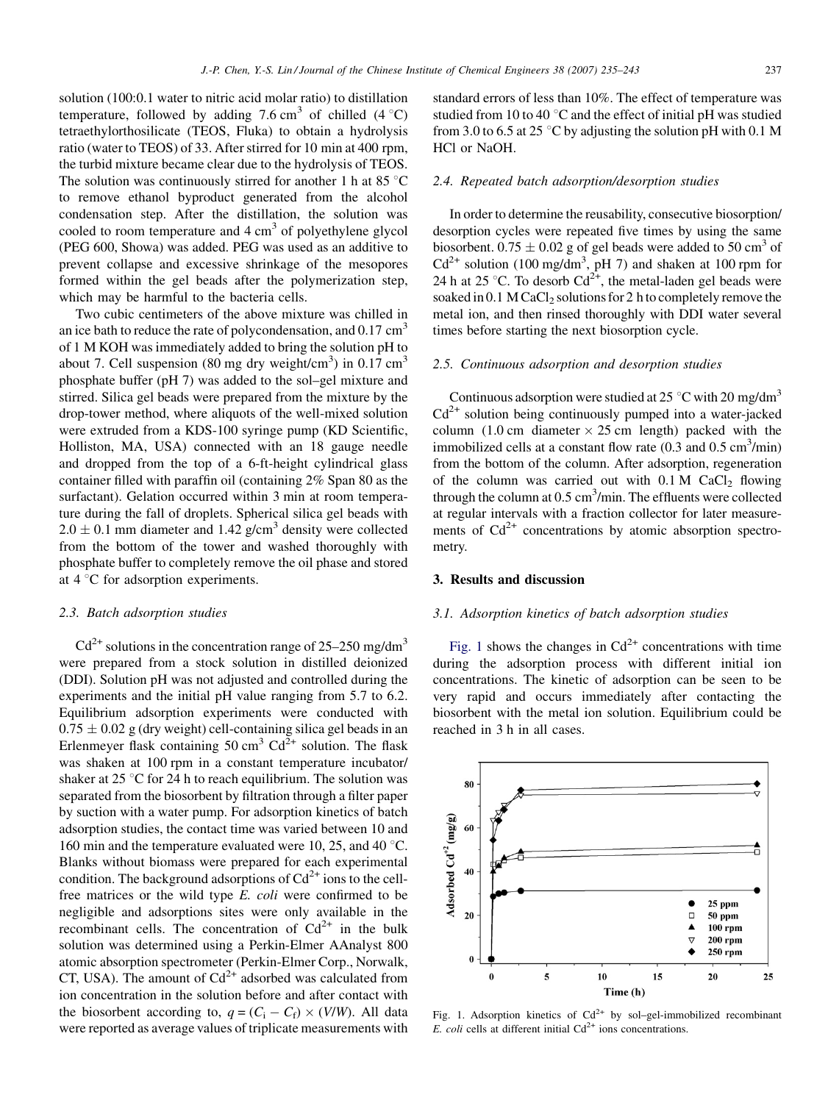<span id="page-2-0"></span>solution (100:0.1 water to nitric acid molar ratio) to distillation temperature, followed by adding 7.6 cm<sup>3</sup> of chilled  $(4^{\circ}C)$ tetraethylorthosilicate (TEOS, Fluka) to obtain a hydrolysis ratio (water to TEOS) of 33. After stirred for 10 min at 400 rpm, the turbid mixture became clear due to the hydrolysis of TEOS. The solution was continuously stirred for another 1 h at 85 $\degree$ C to remove ethanol byproduct generated from the alcohol condensation step. After the distillation, the solution was cooled to room temperature and  $4 \text{ cm}^3$  of polyethylene glycol (PEG 600, Showa) was added. PEG was used as an additive to prevent collapse and excessive shrinkage of the mesopores formed within the gel beads after the polymerization step, which may be harmful to the bacteria cells.

Two cubic centimeters of the above mixture was chilled in an ice bath to reduce the rate of polycondensation, and  $0.17 \text{ cm}^3$ of 1 M KOH was immediately added to bring the solution pH to about 7. Cell suspension (80 mg dry weight/cm<sup>3</sup>) in  $0.17 \text{ cm}^3$ phosphate buffer (pH 7) was added to the sol–gel mixture and stirred. Silica gel beads were prepared from the mixture by the drop-tower method, where aliquots of the well-mixed solution were extruded from a KDS-100 syringe pump (KD Scientific, Holliston, MA, USA) connected with an 18 gauge needle and dropped from the top of a 6-ft-height cylindrical glass container filled with paraffin oil (containing 2% Span 80 as the surfactant). Gelation occurred within 3 min at room temperature during the fall of droplets. Spherical silica gel beads with  $2.0 \pm 0.1$  mm diameter and 1.42 g/cm<sup>3</sup> density were collected from the bottom of the tower and washed thoroughly with phosphate buffer to completely remove the oil phase and stored at  $4^{\circ}$ C for adsorption experiments.

#### 2.3. Batch adsorption studies

 $Cd^{2+}$  solutions in the concentration range of 25–250 mg/dm<sup>3</sup> were prepared from a stock solution in distilled deionized (DDI). Solution pH was not adjusted and controlled during the experiments and the initial pH value ranging from 5.7 to 6.2. Equilibrium adsorption experiments were conducted with  $0.75 \pm 0.02$  g (dry weight) cell-containing silica gel beads in an Erlenmeyer flask containing  $50 \text{ cm}^3 \text{ Cd}^{2+}$  solution. The flask was shaken at 100 rpm in a constant temperature incubator/ shaker at  $25^{\circ}$ C for 24 h to reach equilibrium. The solution was separated from the biosorbent by filtration through a filter paper by suction with a water pump. For adsorption kinetics of batch adsorption studies, the contact time was varied between 10 and 160 min and the temperature evaluated were 10, 25, and 40  $^{\circ}$ C. Blanks without biomass were prepared for each experimental condition. The background adsorptions of  $Cd^{2+}$  ions to the cellfree matrices or the wild type E. coli were confirmed to be negligible and adsorptions sites were only available in the recombinant cells. The concentration of  $Cd^{2+}$  in the bulk solution was determined using a Perkin-Elmer AAnalyst 800 atomic absorption spectrometer (Perkin-Elmer Corp., Norwalk, CT, USA). The amount of  $Cd^{2+}$  adsorbed was calculated from ion concentration in the solution before and after contact with the biosorbent according to,  $q = (C_i - C_f) \times (V/W)$ . All data were reported as average values of triplicate measurements with

standard errors of less than 10%. The effect of temperature was studied from 10 to 40 $\degree$ C and the effect of initial pH was studied from 3.0 to 6.5 at 25 °C by adjusting the solution pH with 0.1 M HCl or NaOH.

#### 2.4. Repeated batch adsorption/desorption studies

In order to determine the reusability, consecutive biosorption/ desorption cycles were repeated five times by using the same biosorbent.  $0.75 \pm 0.02$  g of gel beads were added to 50 cm<sup>3</sup> of  $Cd^{2+}$  solution (100 mg/dm<sup>3</sup>, pH 7) and shaken at 100 rpm for 24 h at 25 °C. To desorb  $Cd^{2+}$ , the metal-laden gel beads were soaked in  $0.1$  M CaCl<sub>2</sub> solutions for 2 h to completely remove the metal ion, and then rinsed thoroughly with DDI water several times before starting the next biosorption cycle.

#### 2.5. Continuous adsorption and desorption studies

Continuous adsorption were studied at 25  $\degree$ C with 20 mg/dm<sup>3</sup>  $Cd<sup>2+</sup>$  solution being continuously pumped into a water-jacked column (1.0 cm diameter  $\times$  25 cm length) packed with the immobilized cells at a constant flow rate  $(0.3 \text{ and } 0.5 \text{ cm}^3/\text{min})$ from the bottom of the column. After adsorption, regeneration of the column was carried out with  $0.1 M$  CaCl<sub>2</sub> flowing through the column at  $0.5 \text{ cm}^3/\text{min}$ . The effluents were collected at regular intervals with a fraction collector for later measurements of  $Cd^{2+}$  concentrations by atomic absorption spectrometry.

#### 3. Results and discussion

#### 3.1. Adsorption kinetics of batch adsorption studies

Fig. 1 shows the changes in  $Cd^{2+}$  concentrations with time during the adsorption process with different initial ion concentrations. The kinetic of adsorption can be seen to be very rapid and occurs immediately after contacting the biosorbent with the metal ion solution. Equilibrium could be reached in 3 h in all cases.



Fig. 1. Adsorption kinetics of  $Cd^{2+}$  by sol–gel-immobilized recombinant E. coli cells at different initial  $Cd^{2+}$  ions concentrations.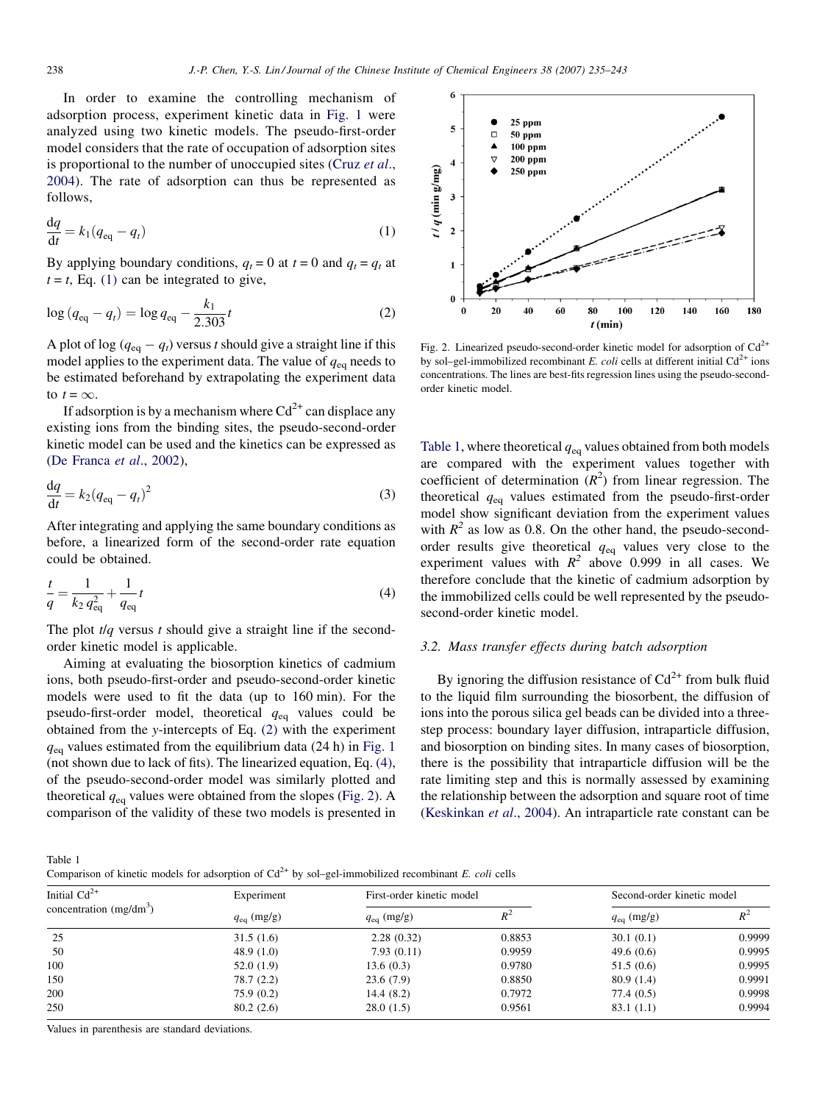In order to examine the controlling mechanism of adsorption process, experiment kinetic data in [Fig. 1](#page-2-0) were analyzed using two kinetic models. The pseudo-first-order model considers that the rate of occupation of adsorption sites is proportional to the number of unoccupied sites ([Cruz](#page-8-0) et al., [2004](#page-8-0)). The rate of adsorption can thus be represented as follows,

$$
\frac{\mathrm{d}q}{\mathrm{d}t} = k_1 (q_{\text{eq}} - q_t) \tag{1}
$$

By applying boundary conditions,  $q_t = 0$  at  $t = 0$  and  $q_t = q_t$  at  $t = t$ , Eq. (1) can be integrated to give,

$$
\log (q_{\text{eq}} - q_t) = \log q_{\text{eq}} - \frac{k_1}{2.303}t \tag{2}
$$

A plot of log ( $q_{eq} - q_t$ ) versus t should give a straight line if this model applies to the experiment data. The value of  $q_{eq}$  needs to be estimated beforehand by extrapolating the experiment data to  $t = \infty$ .

If adsorption is by a mechanism where  $Cd^{2+}$  can displace any existing ions from the binding sites, the pseudo-second-order kinetic model can be used and the kinetics can be expressed as ([De Franca](#page-8-0) et al., 2002),

$$
\frac{\mathrm{d}q}{\mathrm{d}t} = k_2 (q_{\text{eq}} - q_t)^2 \tag{3}
$$

After integrating and applying the same boundary conditions as before, a linearized form of the second-order rate equation could be obtained.

$$
\frac{t}{q} = \frac{1}{k_2 q_{\text{eq}}^2} + \frac{1}{q_{\text{eq}}} t \tag{4}
$$

The plot  $t/q$  versus t should give a straight line if the secondorder kinetic model is applicable.

Aiming at evaluating the biosorption kinetics of cadmium ions, both pseudo-first-order and pseudo-second-order kinetic models were used to fit the data (up to 160 min). For the pseudo-first-order model, theoretical  $q_{eq}$  values could be obtained from the y-intercepts of Eq. (2) with the experiment  $q_{\text{eq}}$  values estimated from the equilibrium data (24 h) in [Fig. 1](#page-2-0) (not shown due to lack of fits). The linearized equation, Eq. (4), of the pseudo-second-order model was similarly plotted and theoretical  $q_{eq}$  values were obtained from the slopes (Fig. 2). A comparison of the validity of these two models is presented in



Fig. 2. Linearized pseudo-second-order kinetic model for adsorption of  $Cd^{2+}$ by sol–gel-immobilized recombinant E. coli cells at different initial  $Cd^{2+}$  ions concentrations. The lines are best-fits regression lines using the pseudo-secondorder kinetic model.

Table 1, where theoretical  $q_{eq}$  values obtained from both models are compared with the experiment values together with coefficient of determination  $(R^2)$  from linear regression. The theoretical  $q_{eq}$  values estimated from the pseudo-first-order model show significant deviation from the experiment values with  $R^2$  as low as 0.8. On the other hand, the pseudo-secondorder results give theoretical  $q_{eq}$  values very close to the experiment values with  $R^2$  above 0.999 in all cases. We therefore conclude that the kinetic of cadmium adsorption by the immobilized cells could be well represented by the pseudosecond-order kinetic model.

#### 3.2. Mass transfer effects during batch adsorption

By ignoring the diffusion resistance of  $Cd^{2+}$  from bulk fluid to the liquid film surrounding the biosorbent, the diffusion of ions into the porous silica gel beads can be divided into a threestep process: boundary layer diffusion, intraparticle diffusion, and biosorption on binding sites. In many cases of biosorption, there is the possibility that intraparticle diffusion will be the rate limiting step and this is normally assessed by examining the relationship between the adsorption and square root of time [\(Keskinkan](#page-8-0) et al., 2004). An intraparticle rate constant can be

Table 1

Comparison of kinetic models for adsorption of  $Cd^{2+}$  by sol–gel-immobilized recombinant E. coli cells

| Initial $Cd^{2+}$<br>concentration $(mg/dm^3)$ | Experiment<br>$q_{\text{eq}}$ (mg/g) | First-order kinetic model |        | Second-order kinetic model |        |
|------------------------------------------------|--------------------------------------|---------------------------|--------|----------------------------|--------|
|                                                |                                      | $q_{\text{eq}}$ (mg/g)    | $R^2$  | $q_{\text{eq}}$ (mg/g)     | $R^2$  |
| 25                                             | 31.5(1.6)                            | 2.28(0.32)                | 0.8853 | 30.1(0.1)                  | 0.9999 |
| 50                                             | 48.9 $(1.0)$                         | 7.93(0.11)                | 0.9959 | 49.6 $(0.6)$               | 0.9995 |
| 100                                            | 52.0(1.9)                            | 13.6(0.3)                 | 0.9780 | 51.5(0.6)                  | 0.9995 |
| 150                                            | 78.7(2.2)                            | 23.6(7.9)                 | 0.8850 | 80.9(1.4)                  | 0.9991 |
| 200                                            | 75.9(0.2)                            | 14.4(8.2)                 | 0.7972 | 77.4 (0.5)                 | 0.9998 |
| 250                                            | 80.2(2.6)                            | 28.0(1.5)                 | 0.9561 | 83.1(1.1)                  | 0.9994 |

Values in parenthesis are standard deviations.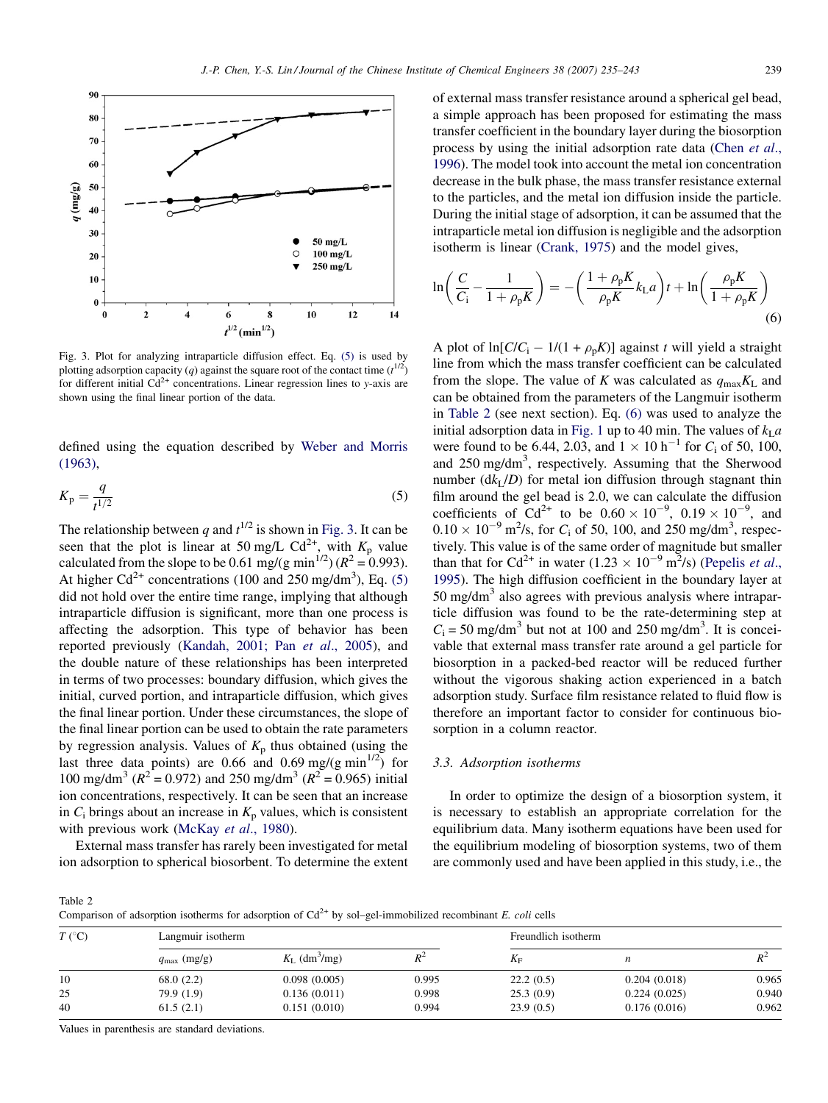<span id="page-4-0"></span>

Fig. 3. Plot for analyzing intraparticle diffusion effect. Eq. (5) is used by plotting adsorption capacity (q) against the square root of the contact time  $(t^{1/2})$ for different initial  $Cd^{2+}$  concentrations. Linear regression lines to y-axis are shown using the final linear portion of the data.

defined using the equation described by [Weber and Morris](#page-8-0) [\(1963\)](#page-8-0),

$$
K_{\rm p} = \frac{q}{t^{1/2}}\tag{5}
$$

The relationship between q and  $t^{1/2}$  is shown in Fig. 3. It can be seen that the plot is linear at 50 mg/L  $Cd^{2+}$ , with  $K_p$  value calculated from the slope to be 0.61 mg/(g min<sup>1/2</sup>) ( $R^2 = 0.993$ ). At higher  $Cd^{2+}$  concentrations (100 and 250 mg/dm<sup>3</sup>), Eq. (5) did not hold over the entire time range, implying that although intraparticle diffusion is significant, more than one process is affecting the adsorption. This type of behavior has been reported previously [\(Kandah, 2001; Pan](#page-8-0) et al., 2005), and the double nature of these relationships has been interpreted in terms of two processes: boundary diffusion, which gives the initial, curved portion, and intraparticle diffusion, which gives the final linear portion. Under these circumstances, the slope of the final linear portion can be used to obtain the rate parameters by regression analysis. Values of  $K_p$  thus obtained (using the last three data points) are 0.66 and 0.69 mg/(g min<sup>1/2</sup>) for 100 mg/dm<sup>3</sup> ( $R^2 = 0.972$ ) and 250 mg/dm<sup>3</sup> ( $R^2 = 0.965$ ) initial ion concentrations, respectively. It can be seen that an increase in  $C_i$  brings about an increase in  $K_p$  values, which is consistent with previous work [\(McKay](#page-8-0) et al., 1980).

External mass transfer has rarely been investigated for metal ion adsorption to spherical biosorbent. To determine the extent of external mass transfer resistance around a spherical gel bead, a simple approach has been proposed for estimating the mass transfer coefficient in the boundary layer during the biosorption process by using the initial adsorption rate data [\(Chen](#page-7-0) et al., [1996](#page-7-0)). The model took into account the metal ion concentration decrease in the bulk phase, the mass transfer resistance external to the particles, and the metal ion diffusion inside the particle. During the initial stage of adsorption, it can be assumed that the intraparticle metal ion diffusion is negligible and the adsorption isotherm is linear [\(Crank, 1975\)](#page-7-0) and the model gives,

$$
\ln\left(\frac{C}{C_{\rm i}} - \frac{1}{1 + \rho_{\rm p}K}\right) = -\left(\frac{1 + \rho_{\rm p}K}{\rho_{\rm p}K}k_{\rm L}a\right)t + \ln\left(\frac{\rho_{\rm p}K}{1 + \rho_{\rm p}K}\right) \tag{6}
$$

A plot of  $ln[C/C_i - 1/(1 + \rho_p K)]$  against t will yield a straight line from which the mass transfer coefficient can be calculated from the slope. The value of K was calculated as  $q_{\text{max}}K_L$  and can be obtained from the parameters of the Langmuir isotherm in Table 2 (see next section). Eq. (6) was used to analyze the initial adsorption data in [Fig. 1](#page-2-0) up to 40 min. The values of  $k<sub>L</sub> a$ were found to be 6.44, 2.03, and  $1 \times 10 \text{ h}^{-1}$  for  $C_i$  of 50, 100, and 250 mg/dm<sup>3</sup>, respectively. Assuming that the Sherwood number  $(dk_L/D)$  for metal ion diffusion through stagnant thin film around the gel bead is 2.0, we can calculate the diffusion coefficients of Cd<sup>2+</sup> to be  $0.60 \times 10^{-9}$ ,  $0.19 \times 10^{-9}$ , and  $0.10 \times 10^{-9}$  m<sup>2</sup>/s, for C<sub>i</sub> of 50, 100, and 250 mg/dm<sup>3</sup>, respectively. This value is of the same order of magnitude but smaller than that for Cd<sup>2+</sup> in water  $(1.23 \times 10^{-9} \text{ m}^2/\text{s})$  [\(Pepelis](#page-8-0) *et al.*, [1995](#page-8-0)). The high diffusion coefficient in the boundary layer at  $50 \text{ mg/dm}^3$  also agrees with previous analysis where intraparticle diffusion was found to be the rate-determining step at  $C_i = 50$  mg/dm<sup>3</sup> but not at 100 and 250 mg/dm<sup>3</sup>. It is conceivable that external mass transfer rate around a gel particle for biosorption in a packed-bed reactor will be reduced further without the vigorous shaking action experienced in a batch adsorption study. Surface film resistance related to fluid flow is therefore an important factor to consider for continuous biosorption in a column reactor.

#### 3.3. Adsorption isotherms

In order to optimize the design of a biosorption system, it is necessary to establish an appropriate correlation for the equilibrium data. Many isotherm equations have been used for the equilibrium modeling of biosorption systems, two of them are commonly used and have been applied in this study, i.e., the

Table 2

Comparison of adsorption isotherms for adsorption of  $Cd^{2+}$  by sol–gel-immobilized recombinant E. coli cells

| $T({}^{\circ}C)$ | Langmuir isotherm       |                                      |       | Freundlich isotherm |              |       |  |
|------------------|-------------------------|--------------------------------------|-------|---------------------|--------------|-------|--|
|                  | $q_{\text{max}}$ (mg/g) | $K_{\text{L}}$ (dm <sup>3</sup> /mg) | $R^2$ | $K_{\rm F}$         |              | $R^2$ |  |
| 10               | 68.0(2.2)               | 0.098(0.005)                         | 0.995 | 22.2(0.5)           | 0.204(0.018) | 0.965 |  |
| 25               | 79.9 (1.9)              | 0.136(0.011)                         | 0.998 | 25.3(0.9)           | 0.224(0.025) | 0.940 |  |
| 40               | 61.5(2.1)               | 0.151(0.010)                         | 0.994 | 23.9(0.5)           | 0.176(0.016) | 0.962 |  |

Values in parenthesis are standard deviations.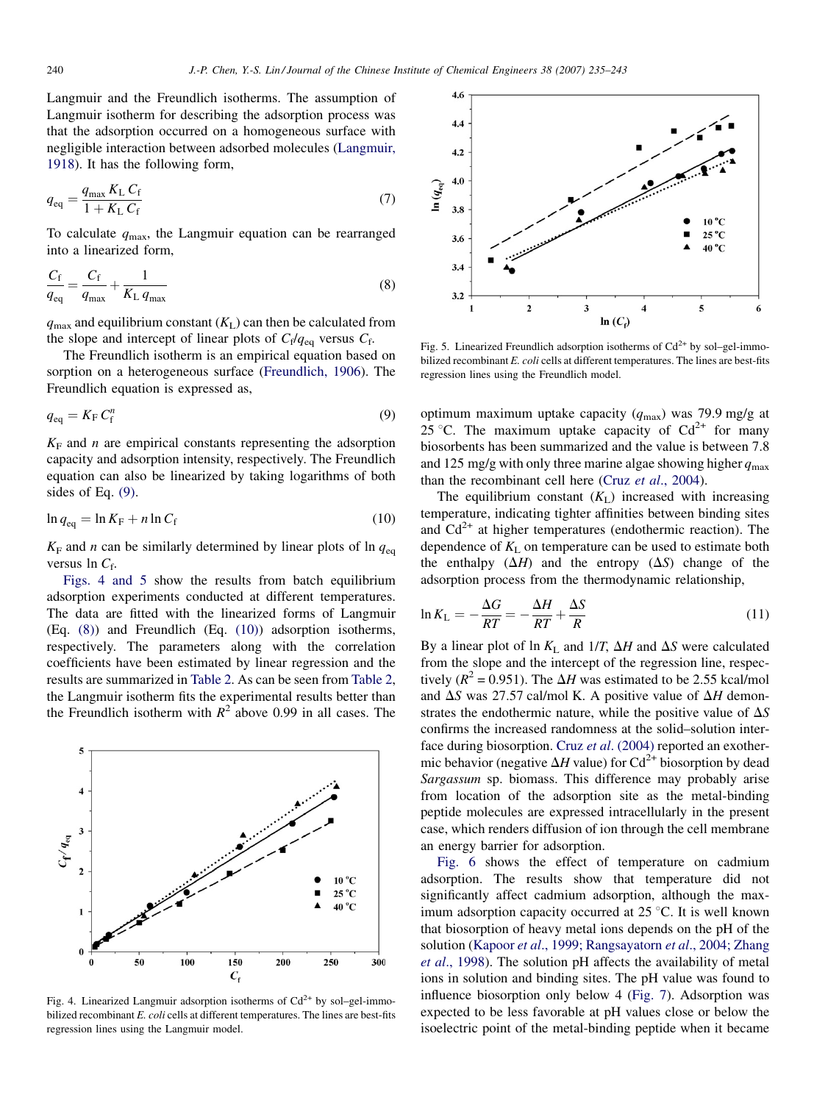Langmuir and the Freundlich isotherms. The assumption of Langmuir isotherm for describing the adsorption process was that the adsorption occurred on a homogeneous surface with negligible interaction between adsorbed molecules [\(Langmuir,](#page-8-0) [1918\)](#page-8-0). It has the following form,

$$
q_{\text{eq}} = \frac{q_{\text{max}} K_{\text{L}} C_{\text{f}}}{1 + K_{\text{L}} C_{\text{f}}}
$$
\n
$$
\tag{7}
$$

To calculate  $q_{\text{max}}$ , the Langmuir equation can be rearranged into a linearized form,

$$
\frac{C_{\rm f}}{q_{\rm eq}} = \frac{C_{\rm f}}{q_{\rm max}} + \frac{1}{K_{\rm L} q_{\rm max}}\tag{8}
$$

 $q_{\text{max}}$  and equilibrium constant  $(K_L)$  can then be calculated from the slope and intercept of linear plots of  $C_f/q_{eq}$  versus  $C_f$ .

The Freundlich isotherm is an empirical equation based on sorption on a heterogeneous surface ([Freundlich, 1906\)](#page-8-0). The Freundlich equation is expressed as,

$$
q_{\text{eq}} = K_{\text{F}} C_{\text{f}}^{n} \tag{9}
$$

 $K_F$  and *n* are empirical constants representing the adsorption capacity and adsorption intensity, respectively. The Freundlich equation can also be linearized by taking logarithms of both sides of Eq. (9).

$$
\ln q_{\text{eq}} = \ln K_{\text{F}} + n \ln C_{\text{f}} \tag{10}
$$

 $K_F$  and *n* can be similarly determined by linear plots of ln  $q_{eq}$ versus  $\ln C_f$ .

Figs. 4 and 5 show the results from batch equilibrium adsorption experiments conducted at different temperatures. The data are fitted with the linearized forms of Langmuir (Eq. (8)) and Freundlich (Eq. (10)) adsorption isotherms, respectively. The parameters along with the correlation coefficients have been estimated by linear regression and the results are summarized in [Table 2](#page-4-0). As can be seen from [Table 2](#page-4-0), the Langmuir isotherm fits the experimental results better than the Freundlich isotherm with  $R^2$  above 0.99 in all cases. The



Fig. 4. Linearized Langmuir adsorption isotherms of  $Cd^{2+}$  by sol–gel-immobilized recombinant E. coli cells at different temperatures. The lines are best-fits regression lines using the Langmuir model.



Fig. 5. Linearized Freundlich adsorption isotherms of  $Cd^{2+}$  by sol–gel-immobilized recombinant E. coli cells at different temperatures. The lines are best-fits regression lines using the Freundlich model.

optimum maximum uptake capacity ( $q_{\text{max}}$ ) was 79.9 mg/g at 25 °C. The maximum uptake capacity of  $Cd^{2+}$  for many biosorbents has been summarized and the value is between 7.8 and 125 mg/g with only three marine algae showing higher  $q_{\text{max}}$ than the recombinant cell here (Cruz et al[., 2004\)](#page-8-0).

The equilibrium constant  $(K_L)$  increased with increasing temperature, indicating tighter affinities between binding sites and  $Cd^{2+}$  at higher temperatures (endothermic reaction). The dependence of  $K<sub>L</sub>$  on temperature can be used to estimate both the enthalpy  $(\Delta H)$  and the entropy  $(\Delta S)$  change of the adsorption process from the thermodynamic relationship,

$$
\ln K_{\rm L} = -\frac{\Delta G}{RT} = -\frac{\Delta H}{RT} + \frac{\Delta S}{R}
$$
\n(11)

By a linear plot of ln  $K_L$  and  $1/T$ ,  $\Delta H$  and  $\Delta S$  were calculated from the slope and the intercept of the regression line, respectively ( $R^2$  = 0.951). The  $\Delta H$  was estimated to be 2.55 kcal/mol and  $\Delta S$  was 27.57 cal/mol K. A positive value of  $\Delta H$  demonstrates the endothermic nature, while the positive value of  $\Delta S$ confirms the increased randomness at the solid–solution inter-face during biosorption. Cruz et al[. \(2004\)](#page-8-0) reported an exothermic behavior (negative  $\Delta H$  value) for Cd<sup>2+</sup> biosorption by dead Sargassum sp. biomass. This difference may probably arise from location of the adsorption site as the metal-binding peptide molecules are expressed intracellularly in the present case, which renders diffusion of ion through the cell membrane an energy barrier for adsorption.

[Fig. 6](#page-6-0) shows the effect of temperature on cadmium adsorption. The results show that temperature did not significantly affect cadmium adsorption, although the maximum adsorption capacity occurred at  $25^{\circ}$ C. It is well known that biosorption of heavy metal ions depends on the pH of the solution (Kapoor et al[., 1999; Rangsayatorn](#page-8-0) et al., 2004; Zhang et al[., 1998\)](#page-8-0). The solution pH affects the availability of metal ions in solution and binding sites. The pH value was found to influence biosorption only below 4 ([Fig. 7\)](#page-6-0). Adsorption was expected to be less favorable at pH values close or below the isoelectric point of the metal-binding peptide when it became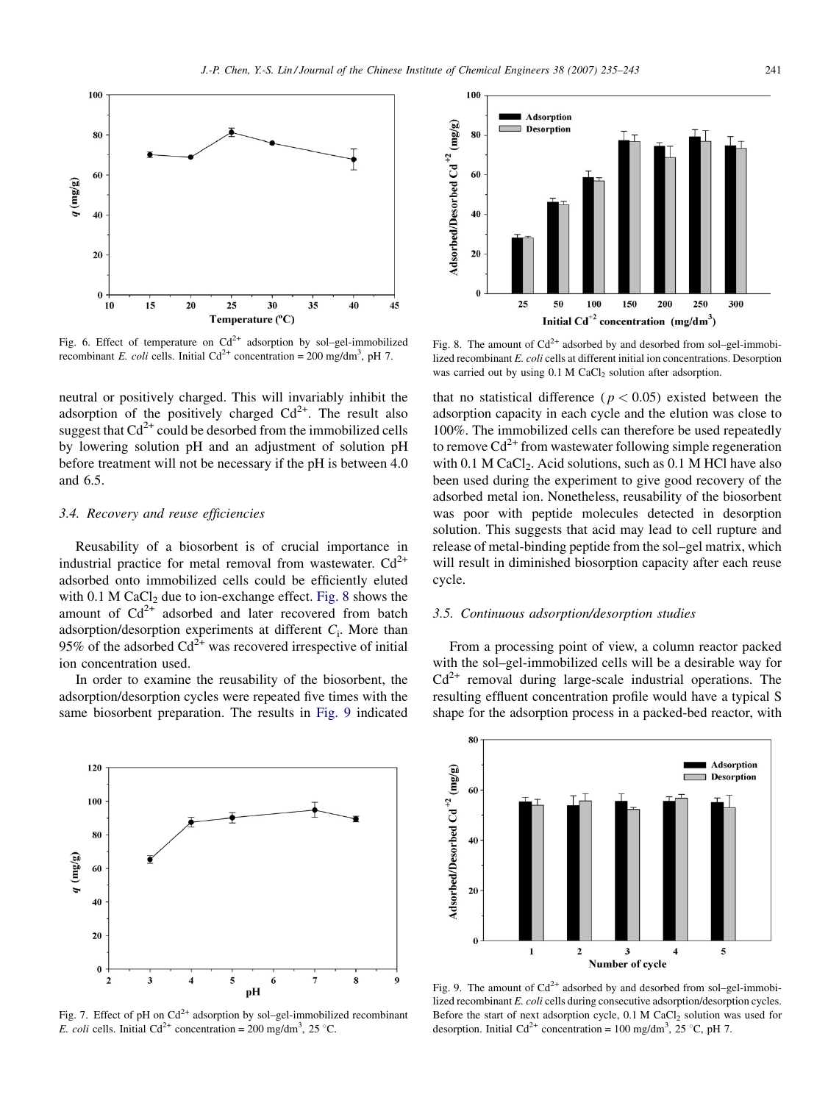<span id="page-6-0"></span>

Fig. 6. Effect of temperature on  $Cd^{2+}$  adsorption by sol–gel-immobilized recombinant E. coli cells. Initial Cd<sup>2+</sup> concentration = 200 mg/dm<sup>3</sup>, pH 7.

neutral or positively charged. This will invariably inhibit the adsorption of the positively charged  $Cd^{2+}$ . The result also suggest that  $Cd^{2+}$  could be desorbed from the immobilized cells by lowering solution pH and an adjustment of solution pH before treatment will not be necessary if the pH is between 4.0 and 6.5.

#### 3.4. Recovery and reuse efficiencies

Reusability of a biosorbent is of crucial importance in industrial practice for metal removal from wastewater.  $Cd^{2+}$ adsorbed onto immobilized cells could be efficiently eluted with  $0.1$  M CaCl<sub>2</sub> due to ion-exchange effect. Fig. 8 shows the amount of  $Cd^{2+}$  adsorbed and later recovered from batch adsorption/desorption experiments at different  $C_i$ . More than 95% of the adsorbed  $Cd^{2+}$  was recovered irrespective of initial ion concentration used.

In order to examine the reusability of the biosorbent, the adsorption/desorption cycles were repeated five times with the same biosorbent preparation. The results in Fig. 9 indicated



Fig. 7. Effect of pH on  $Cd^{2+}$  adsorption by sol–gel-immobilized recombinant E. coli cells. Initial Cd<sup>2+</sup> concentration = 200 mg/dm<sup>3</sup>, 25 °C.



Fig. 8. The amount of  $Cd^{2+}$  adsorbed by and desorbed from sol–gel-immobilized recombinant E. coli cells at different initial ion concentrations. Desorption was carried out by using 0.1 M CaCl<sub>2</sub> solution after adsorption.

that no statistical difference ( $p < 0.05$ ) existed between the adsorption capacity in each cycle and the elution was close to 100%. The immobilized cells can therefore be used repeatedly to remove  $Cd^{2+}$  from wastewater following simple regeneration with  $0.1$  M CaCl<sub>2</sub>. Acid solutions, such as  $0.1$  M HCl have also been used during the experiment to give good recovery of the adsorbed metal ion. Nonetheless, reusability of the biosorbent was poor with peptide molecules detected in desorption solution. This suggests that acid may lead to cell rupture and release of metal-binding peptide from the sol–gel matrix, which will result in diminished biosorption capacity after each reuse cycle.

#### 3.5. Continuous adsorption/desorption studies

From a processing point of view, a column reactor packed with the sol–gel-immobilized cells will be a desirable way for  $Cd<sup>2+</sup>$  removal during large-scale industrial operations. The resulting effluent concentration profile would have a typical S shape for the adsorption process in a packed-bed reactor, with



Fig. 9. The amount of  $Cd^{2+}$  adsorbed by and desorbed from sol–gel-immobilized recombinant E. coli cells during consecutive adsorption/desorption cycles. Before the start of next adsorption cycle,  $0.1$  M CaCl<sub>2</sub> solution was used for desorption. Initial Cd<sup>2+</sup> concentration = 100 mg/dm<sup>3</sup>, 25 °C, pH 7.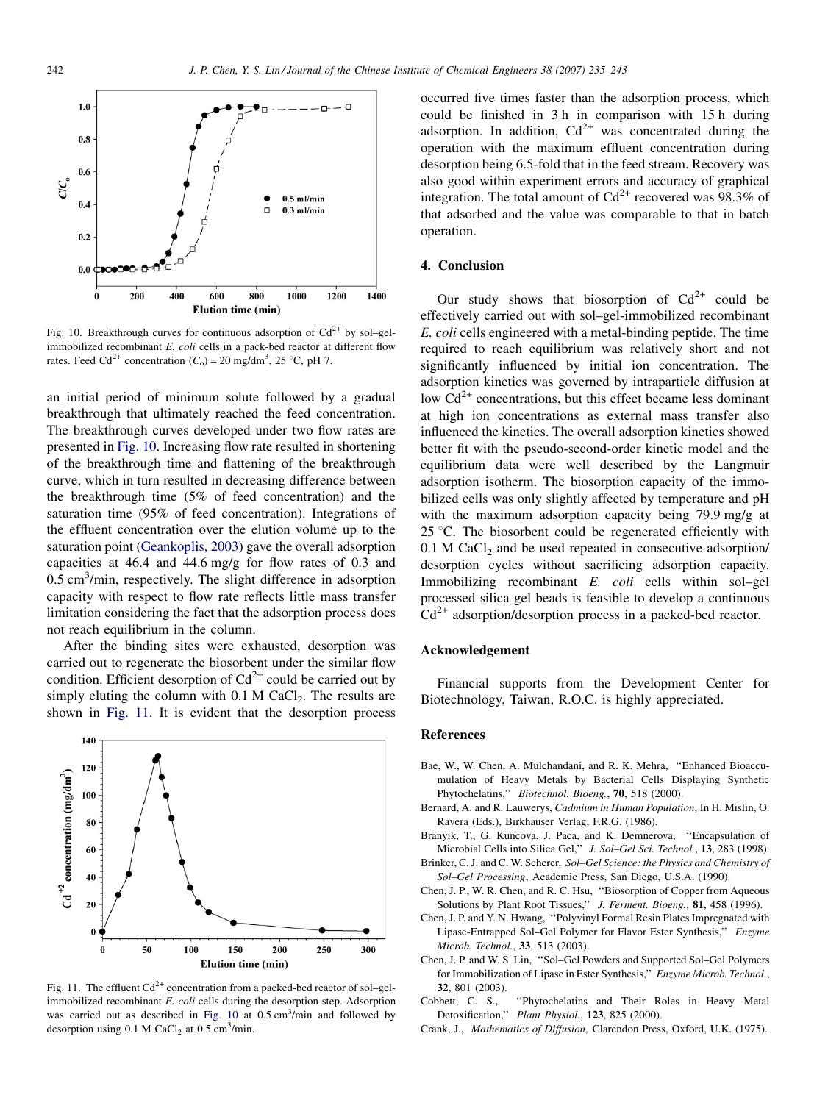<span id="page-7-0"></span>

Fig. 10. Breakthrough curves for continuous adsorption of  $Cd^{2+}$  by sol–gelimmobilized recombinant E. coli cells in a pack-bed reactor at different flow rates. Feed Cd<sup>2+</sup> concentration  $(C_0) = 20$  mg/dm<sup>3</sup>, 25 °C, pH 7.

an initial period of minimum solute followed by a gradual breakthrough that ultimately reached the feed concentration. The breakthrough curves developed under two flow rates are presented in Fig. 10. Increasing flow rate resulted in shortening of the breakthrough time and flattening of the breakthrough curve, which in turn resulted in decreasing difference between the breakthrough time (5% of feed concentration) and the saturation time (95% of feed concentration). Integrations of the effluent concentration over the elution volume up to the saturation point ([Geankoplis, 2003\)](#page-8-0) gave the overall adsorption capacities at 46.4 and 44.6 mg/g for flow rates of 0.3 and 0.5 cm<sup>3</sup>/min, respectively. The slight difference in adsorption capacity with respect to flow rate reflects little mass transfer limitation considering the fact that the adsorption process does not reach equilibrium in the column.

After the binding sites were exhausted, desorption was carried out to regenerate the biosorbent under the similar flow condition. Efficient desorption of  $Cd^{2+}$  could be carried out by simply eluting the column with  $0.1$  M CaCl<sub>2</sub>. The results are shown in Fig. 11. It is evident that the desorption process



Fig. 11. The effluent  $Cd^{2+}$  concentration from a packed-bed reactor of sol–gelimmobilized recombinant E. coli cells during the desorption step. Adsorption was carried out as described in Fig.  $10$  at  $0.5 \text{ cm}^3/\text{min}$  and followed by desorption using  $0.1 \text{ M }$  CaCl<sub>2</sub> at  $0.5 \text{ cm}^3/\text{min}$ .

occurred five times faster than the adsorption process, which could be finished in 3 h in comparison with 15 h during adsorption. In addition,  $Cd^{2+}$  was concentrated during the operation with the maximum effluent concentration during desorption being 6.5-fold that in the feed stream. Recovery was also good within experiment errors and accuracy of graphical integration. The total amount of  $Cd^{2+}$  recovered was 98.3% of that adsorbed and the value was comparable to that in batch operation.

### 4. Conclusion

Our study shows that biosorption of  $Cd^{2+}$  could be effectively carried out with sol–gel-immobilized recombinant E. coli cells engineered with a metal-binding peptide. The time required to reach equilibrium was relatively short and not significantly influenced by initial ion concentration. The adsorption kinetics was governed by intraparticle diffusion at low  $Cd^{2+}$  concentrations, but this effect became less dominant at high ion concentrations as external mass transfer also influenced the kinetics. The overall adsorption kinetics showed better fit with the pseudo-second-order kinetic model and the equilibrium data were well described by the Langmuir adsorption isotherm. The biosorption capacity of the immobilized cells was only slightly affected by temperature and pH with the maximum adsorption capacity being 79.9 mg/g at 25  $\degree$ C. The biosorbent could be regenerated efficiently with  $0.1$  M CaCl<sub>2</sub> and be used repeated in consecutive adsorption/ desorption cycles without sacrificing adsorption capacity. Immobilizing recombinant E. coli cells within sol–gel processed silica gel beads is feasible to develop a continuous  $Cd<sup>2+</sup>$  adsorption/desorption process in a packed-bed reactor.

#### Acknowledgement

Financial supports from the Development Center for Biotechnology, Taiwan, R.O.C. is highly appreciated.

#### References

- Bae, W., W. Chen, A. Mulchandani, and R. K. Mehra, ''Enhanced Bioaccumulation of Heavy Metals by Bacterial Cells Displaying Synthetic Phytochelatins,'' Biotechnol. Bioeng., 70, 518 (2000).
- Bernard, A. and R. Lauwerys, Cadmium in Human Population, In H. Mislin, O. Ravera (Eds.), Birkhäuser Verlag, F.R.G. (1986).
- Branyik, T., G. Kuncova, J. Paca, and K. Demnerova, ''Encapsulation of Microbial Cells into Silica Gel,'' J. Sol–Gel Sci. Technol., 13, 283 (1998).
- Brinker, C. J. and C. W. Scherer, Sol–Gel Science: the Physics and Chemistry of Sol–Gel Processing, Academic Press, San Diego, U.S.A. (1990).
- Chen, J. P., W. R. Chen, and R. C. Hsu, ''Biosorption of Copper from Aqueous Solutions by Plant Root Tissues," J. Ferment. Bioeng., 81, 458 (1996).
- Chen, J. P. and Y. N. Hwang, ''Polyvinyl Formal Resin Plates Impregnated with Lipase-Entrapped Sol–Gel Polymer for Flavor Ester Synthesis,'' Enzyme Microb. Technol., 33, 513 (2003).
- Chen, J. P. and W. S. Lin, ''Sol–Gel Powders and Supported Sol–Gel Polymers for Immobilization of Lipase in Ester Synthesis," Enzyme Microb. Technol., 32, 801 (2003).
- Cobbett, C. S., ''Phytochelatins and Their Roles in Heavy Metal Detoxification," Plant Physiol., 123, 825 (2000).
- Crank, J., Mathematics of Diffusion, Clarendon Press, Oxford, U.K. (1975).